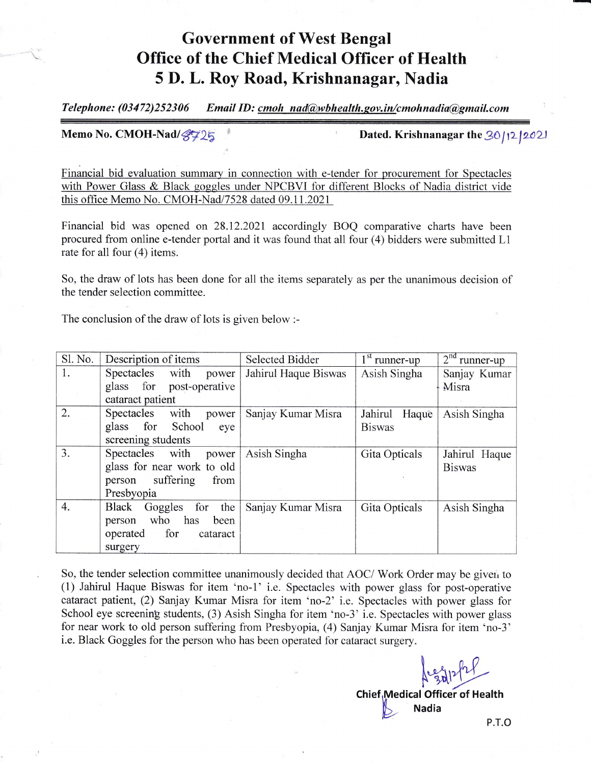## Government of West Bengal Office of the Chief Medical Officer of Health 5 f). L. Roy Road, Krishnanagar, Nadia

Telephone: (03472)252306 Email ID: cmoh nad@wbhealth.gov.in/cmohnadia@gmail.com

Memo No. CMOH-Nad/ $\mathcal{G}$ 725 Dated. Krishnanagar the 30/12/2021

Financial bid evaluation summary in connection with e-tender for procurement for Spectacles with Power Glass & Black goggles under NPCBVI for different Blocks of Nadia district vide this office Memo No. CMOH-Nad/7528 dated 09.11.2021

Financial bid was opened on 28.12.2021 accordingly BOQ comparative charts have been procured from online e-tender portal and it was found that all four (4) bidders were submitted Ll rate for all four (4) items.

So, the draw of lots has been done for all the items separately as per the unanimous decision of the tender selection committee.

The conclusion of the draw of lots is given below :-

| Sl. No. | Description of items        | <b>Selected Bidder</b> | $1st$ runner-up  | $2nd$ runner-up |
|---------|-----------------------------|------------------------|------------------|-----------------|
| 1.      | Spectacles with power       | Jahirul Haque Biswas   | Asish Singha     | Sanjay Kumar    |
|         | glass for post-operative    |                        |                  | Misra           |
|         | cataract patient            |                        |                  |                 |
| 2.      | with<br>Spectacles<br>power | Sanjay Kumar Misra     | Jahirul<br>Haque | Asish Singha    |
|         | glass for School<br>eye     |                        | <b>Biswas</b>    |                 |
|         | screening students          |                        |                  |                 |
| 3.      | Spectacles with<br>power    | Asish Singha           | Gita Opticals    | Jahirul Haque   |
|         | glass for near work to old  |                        |                  | <b>Biswas</b>   |
|         | suffering<br>from<br>person |                        |                  |                 |
|         | Presbyopia                  |                        |                  |                 |
| 4.      | Black<br>Goggles for<br>the | Sanjay Kumar Misra     | Gita Opticals    | Asish Singha    |
|         | person who<br>has<br>been   |                        |                  |                 |
|         | for<br>operated<br>cataract |                        |                  |                 |
|         | surgery                     |                        |                  |                 |

So, the tender selection committee unanimously decided that AOC/ Work Order may be given to (1) Jahirul Haque Biswas for item 'no-1' i.e. Spectacles with power glass for post-operative cataract patient, (2) Sanjay Kumar Misra for item 'no-2' i.e. Spectacles with power glass for School eye screening students, (3) Asish Singha for item 'no-3' i.e. Spectacles with power glass for near work to old person suffering from Presbyopia, (4) Sanjay Kumar Misra for item 'no-3' i.e. Black Goggles for the person who has been operated for cataract surgery.

> Alphytherical Chief, Medical Officer of Health Wedical Office of

p.r.o